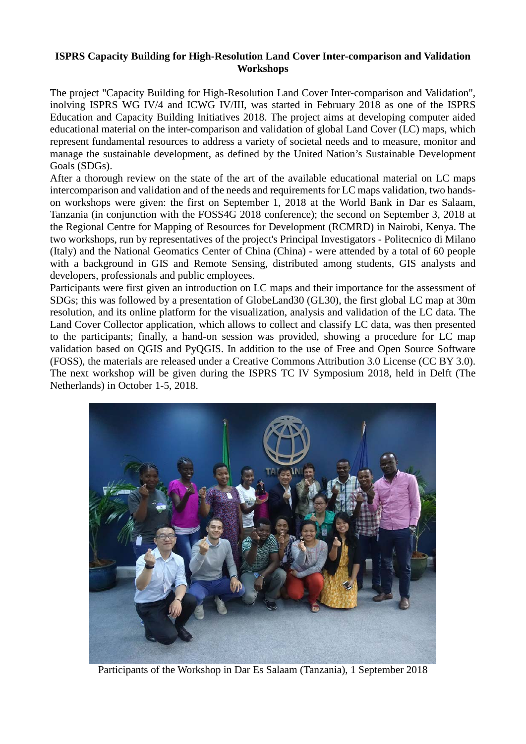## **ISPRS Capacity Building for High-Resolution Land Cover Inter-comparison and Validation Workshops**

The project "Capacity Building for High-Resolution Land Cover Inter-comparison and Validation", inolving ISPRS WG IV/4 and ICWG IV/III, was started in February 2018 as one of the [ISPRS](http://www.isprs.org/society/ecbi/default.aspx)  [Education and Capacity Building Initiatives 2018.](http://www.isprs.org/society/ecbi/default.aspx) The project aims at developing computer aided educational material on the inter-comparison and validation of global Land Cover (LC) maps, which represent fundamental resources to address a variety of societal needs and to measure, monitor and manage the sustainable development, as defined by the United Nation's Sustainable Development Goals (SDGs).

After a thorough review on the state of the art of the available educational material on LC maps intercomparison and validation and of the needs and requirements for LC maps validation, two handson workshops were given: the first on September 1, 2018 at the [World Bank](https://www.worldbank.org/) in Dar es Salaam, Tanzania (in conjunction with the [FOSS4G 2018](http://2018.foss4g.org/) conference); the second on September 3, 2018 at the [Regional Centre for Mapping of Resources for Development \(RCMRD\)](http://www.rcmrd.org/) in Nairobi, Kenya. The two workshops, run by representatives of the project's Principal Investigators - [Politecnico di Milano](https://www.polimi.it/) (Italy) and the [National Geomatics Center of China](http://ngcc.sbsm.gov.cn/article/en/) (China) - were attended by a total of 60 people with a background in GIS and Remote Sensing, distributed among students, GIS analysts and developers, professionals and public employees.

Participants were first given an introduction on LC maps and their importance for the assessment of SDGs; this was followed by a presentation of GlobeLand30 (GL30), the first global LC map at 30m resolution, and its [online platform](http://www.globallandcover.com/) for the visualization, analysis and validation of the LC data. The [Land Cover Collector](https://landcover.como.polimi.it/collector/) application, which allows to collect and classify LC data, was then presented to the participants; finally, a hand-on session was provided, showing a procedure for LC map validation based on [QGIS](https://qgis.org/) and [PyQGIS.](https://qgis.org/pyqgis/master/) In addition to the use of Free and Open Source Software (FOSS), the materials are released under a Creative Commons Attribution 3.0 License (CC BY 3.0). The next workshop will be given during the [ISPRS TC IV Symposium 2018,](http://www.isprs.org/tc4-symposium2018/) held in Delft (The Netherlands) in October 1-5, 2018.



Participants of the Workshop in Dar Es Salaam (Tanzania), 1 September 2018